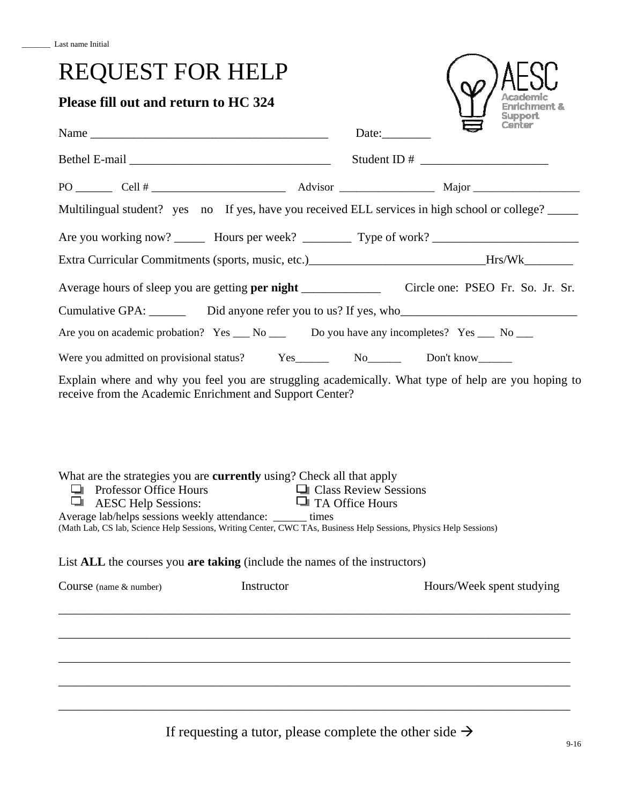## REQUEST FOR HELP

## **Please fill out and return to HC 324**

| Please fill out and return to HC 324                                                                                                                                                                                                                                                                                                                              |                         |                                                                                                     | <b>Enrichment &amp;</b><br>Support |  |  |  |
|-------------------------------------------------------------------------------------------------------------------------------------------------------------------------------------------------------------------------------------------------------------------------------------------------------------------------------------------------------------------|-------------------------|-----------------------------------------------------------------------------------------------------|------------------------------------|--|--|--|
|                                                                                                                                                                                                                                                                                                                                                                   |                         | Date:                                                                                               |                                    |  |  |  |
|                                                                                                                                                                                                                                                                                                                                                                   |                         |                                                                                                     |                                    |  |  |  |
|                                                                                                                                                                                                                                                                                                                                                                   |                         |                                                                                                     |                                    |  |  |  |
| Multilingual student? yes no If yes, have you received ELL services in high school or college?                                                                                                                                                                                                                                                                    |                         |                                                                                                     |                                    |  |  |  |
| Are you working now? ________ Hours per week? __________ Type of work? _____________________________                                                                                                                                                                                                                                                              |                         |                                                                                                     |                                    |  |  |  |
|                                                                                                                                                                                                                                                                                                                                                                   |                         | Extra Curricular Commitments (sports, music, etc.)_____________________________Hrs/Wk______________ |                                    |  |  |  |
|                                                                                                                                                                                                                                                                                                                                                                   |                         |                                                                                                     |                                    |  |  |  |
|                                                                                                                                                                                                                                                                                                                                                                   |                         |                                                                                                     |                                    |  |  |  |
| Are you on academic probation? Yes ___ No ___ Do you have any incompletes? Yes ___ No ___                                                                                                                                                                                                                                                                         |                         |                                                                                                     |                                    |  |  |  |
|                                                                                                                                                                                                                                                                                                                                                                   |                         |                                                                                                     |                                    |  |  |  |
| Explain where and why you feel you are struggling academically. What type of help are you hoping to<br>receive from the Academic Enrichment and Support Center?                                                                                                                                                                                                   |                         |                                                                                                     |                                    |  |  |  |
| What are the strategies you are <b>currently</b> using? Check all that apply<br>□ Professor Office Hours<br>□ Class Review Ses<br>□ AESC Help Sessions: □ TA Office Hours<br>ч<br>Average lab/helps sessions weekly attendance: ______ times<br>(Math Lab, CS lab, Science Help Sessions, Writing Center, CWC TAs, Business Help Sessions, Physics Help Sessions) | □ Class Review Sessions |                                                                                                     |                                    |  |  |  |
| List ALL the courses you are taking (include the names of the instructors)                                                                                                                                                                                                                                                                                        |                         |                                                                                                     |                                    |  |  |  |
| Instructor<br>Course (name & number)                                                                                                                                                                                                                                                                                                                              |                         |                                                                                                     | Hours/Week spent studying          |  |  |  |
|                                                                                                                                                                                                                                                                                                                                                                   |                         |                                                                                                     |                                    |  |  |  |
|                                                                                                                                                                                                                                                                                                                                                                   |                         |                                                                                                     |                                    |  |  |  |
|                                                                                                                                                                                                                                                                                                                                                                   |                         |                                                                                                     |                                    |  |  |  |

If requesting a tutor, please complete the other side  $\rightarrow$ 

 $\overline{S}$ 

 $\omega$